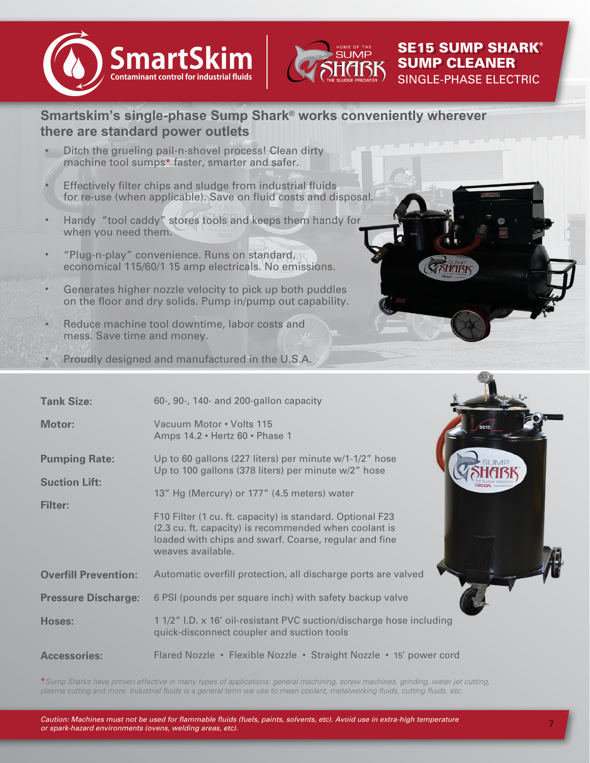



SE15 SUMP SHARK SE15 SUMP SHARK SE15 SUMP SHARK® SUMP CLEANER SUMP CLEANER SUMP CLEANER

SINGLE-PHASE ELECTRIC

## **Smartskim's single-phase Sump Shark® works conveniently wherever there are standard power outlets**

- Ditch the grueling pail-n-shovel process! Clean dirty machine tool sumps\* faster, smarter and safer. •
- Effectively filter chips and sludge from industrial fluids for re-use (when applicable). Save on fluid costs and disposal. •
- Handy "tool caddy" stores tools and keeps them handy for when you need them. •
- "Plug-n-play" convenience. Runs on standard, economical 115/60/1 15 amp electricals. No emissions. •
- Generates higher nozzle velocity to pick up both puddles on the floor and dry solids. Pump in/pump out capability. •
- Reduce machine tool downtime, labor costs and mess. Save time and money. •



Proudly designed and manufactured in the U.S.A. •

| <b>Tank Size:</b>                                              | 60-, 90-, 140- and 200-gallon capacity                                                                                                                                                                                                                                                                                                                           |
|----------------------------------------------------------------|------------------------------------------------------------------------------------------------------------------------------------------------------------------------------------------------------------------------------------------------------------------------------------------------------------------------------------------------------------------|
| Motor:                                                         | Vacuum Motor • Volts 115<br>Amps 14.2 · Hertz 60 · Phase 1                                                                                                                                                                                                                                                                                                       |
| <b>Pumping Rate:</b><br><b>Suction Lift:</b><br><b>Filter:</b> | Up to 60 gallons (227 liters) per minute w/1-1/2" hose<br>Up to 100 gallons (378 liters) per minute w/2" hose<br>13" Hg (Mercury) or 177" (4.5 meters) water<br>F10 Filter (1 cu. ft. capacity) is standard. Optional F23<br>(2.3 cu. ft. capacity) is recommended when coolant is<br>loaded with chips and swarf. Coarse, regular and fine<br>weaves available. |
| <b>Overfill Prevention:</b>                                    | Automatic overfill protection, all discharge ports are valved                                                                                                                                                                                                                                                                                                    |
| <b>Pressure Discharge:</b>                                     | 6 PSI (pounds per square inch) with safety backup valve                                                                                                                                                                                                                                                                                                          |
| <b>Hoses:</b>                                                  | 1 1/2" I.D. x 16' oil-resistant PVC suction/discharge hose including<br>quick-disconnect coupler and suction tools                                                                                                                                                                                                                                               |
| <b>Accessories:</b>                                            | Flared Nozzle • Flexible Nozzle • Straight Nozzle • 15' power cord                                                                                                                                                                                                                                                                                               |

\**Sump Sharks have proven effective in many types of applications: general machining, screw machines, grinding, water jet cutting, plasma cutting and more. Industrial fluids is a general term we use to mean coolant, metalworking fluids, cutting fluids, etc.*